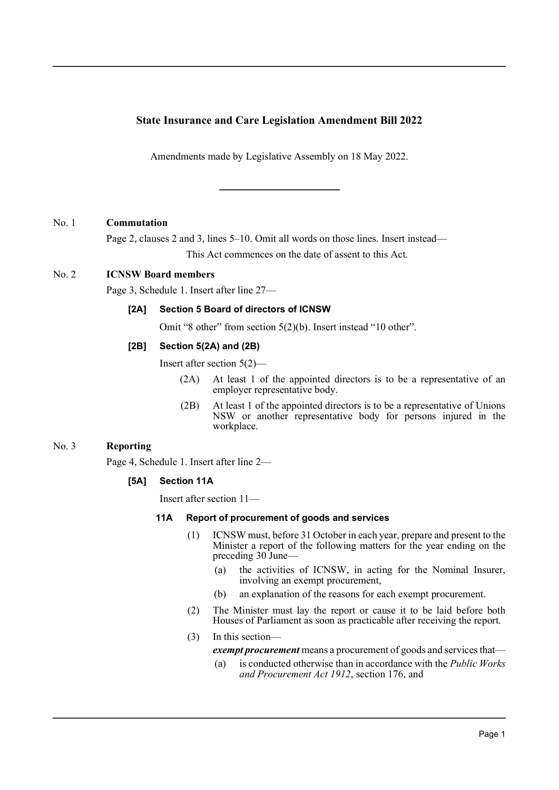# **State Insurance and Care Legislation Amendment Bill 2022**

Amendments made by Legislative Assembly on 18 May 2022.

### No. 1 **Commutation**

Page 2, clauses 2 and 3, lines 5–10. Omit all words on those lines. Insert instead— This Act commences on the date of assent to this Act.

### No. 2 **ICNSW Board members**

Page 3, Schedule 1. Insert after line 27—

### **[2A] Section 5 Board of directors of ICNSW**

Omit "8 other" from section 5(2)(b). Insert instead "10 other".

#### **[2B] Section 5(2A) and (2B)**

Insert after section 5(2)—

- (2A) At least 1 of the appointed directors is to be a representative of an employer representative body.
- (2B) At least 1 of the appointed directors is to be a representative of Unions NSW or another representative body for persons injured in the workplace.

## No. 3 **Reporting**

Page 4, Schedule 1. Insert after line 2—

### **[5A] Section 11A**

Insert after section 11—

#### **11A Report of procurement of goods and services**

- (1) ICNSW must, before 31 October in each year, prepare and present to the Minister a report of the following matters for the year ending on the preceding 30 June—
	- (a) the activities of ICNSW, in acting for the Nominal Insurer, involving an exempt procurement,
	- (b) an explanation of the reasons for each exempt procurement.
- (2) The Minister must lay the report or cause it to be laid before both Houses of Parliament as soon as practicable after receiving the report.
- (3) In this section—

*exempt procurement* means a procurement of goods and services that—

(a) is conducted otherwise than in accordance with the *Public Works and Procurement Act 1912*, section 176, and